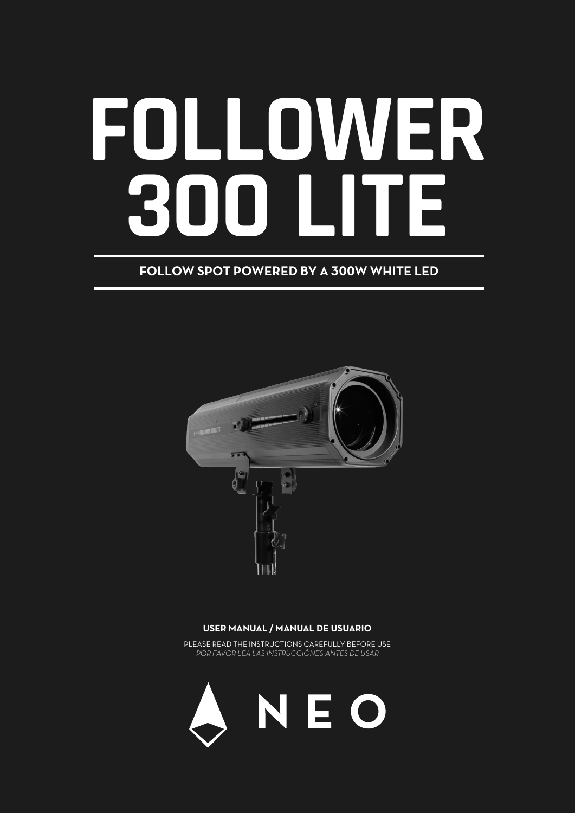# **FOLLOWER 300 LITE**

## **FOLLOW SPOT POWERED BY A 300W WHITE LED**



#### **USER MANUAL / MANUAL DE USUARIO**

PLEASE READ THE INSTRUCTIONS CAREFULLY BEFORE USE *POR FAVOR LEA LAS INSTRUCCIÓNES ANTES DE USAR*

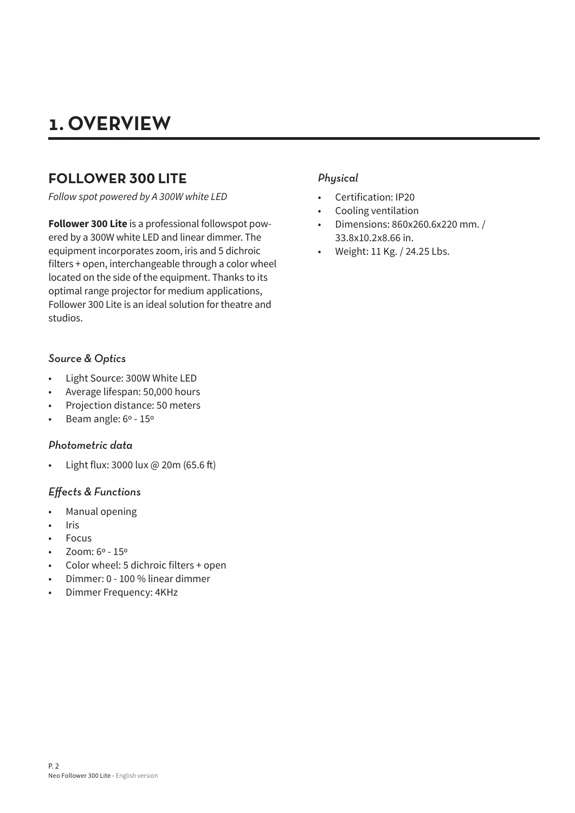# **1. OVERVIEW**

## **FOLLOWER 300 LITE**

*Follow spot powered by A 300W white LED*

**Follower 300 Lite** is a professional followspot powered by a 300W white LED and linear dimmer. The equipment incorporates zoom, iris and 5 dichroic filters + open, interchangeable through a color wheel located on the side of the equipment. Thanks to its optimal range projector for medium applications, Follower 300 Lite is an ideal solution for theatre and studios.

## *Source & Optics*

- Light Source: 300W White LED
- Average lifespan: 50,000 hours
- Projection distance: 50 meters
- Beam angle: 6º 15º

#### *Photometric data*

• Light flux: 3000 lux @ 20m (65.6 ft)

#### *Effects & Functions*

- Manual opening
- **Iris**
- **Focus**
- Zoom: 6º 15º
- Color wheel: 5 dichroic filters + open
- Dimmer: 0 100 % linear dimmer
- Dimmer Frequency: 4KHz

## *Physical*

- Certification: IP20
- Cooling ventilation
- Dimensions: 860x260.6x220 mm. / 33.8x10.2x8.66 in.
- Weight: 11 Kg. / 24.25 Lbs.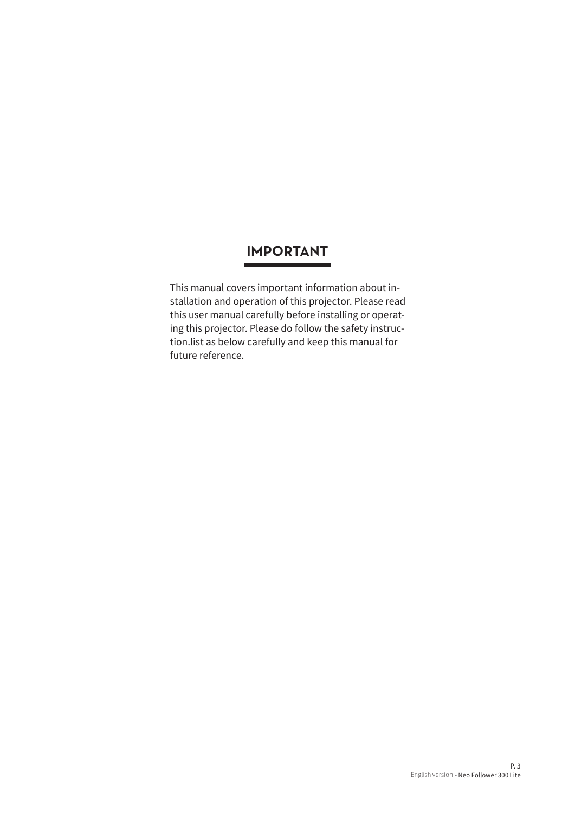## **IMPORTANT**

This manual covers important information about installation and operation of this projector. Please read this user manual carefully before installing or operating this projector. Please do follow the safety instruction.list as below carefully and keep this manual for future reference.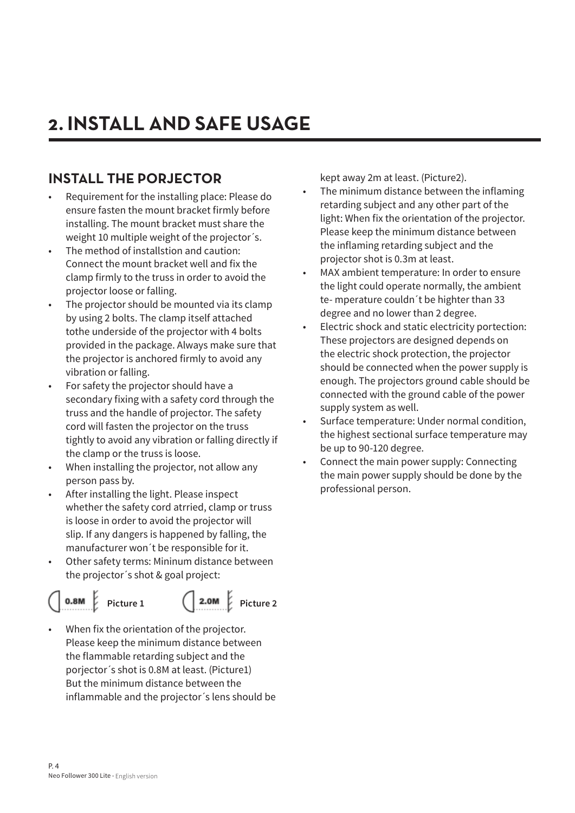# **2. INSTALL AND SAFE USAGE**

## **INSTALL THE PORJECTOR**

- Requirement for the installing place: Please do ensure fasten the mount bracket firmly before installing. The mount bracket must share the weight 10 multiple weight of the projector´s.
- The method of installstion and caution: Connect the mount bracket well and fix the clamp firmly to the truss in order to avoid the projector loose or falling.
- The projector should be mounted via its clamp by using 2 bolts. The clamp itself attached tothe underside of the projector with 4 bolts provided in the package. Always make sure that the projector is anchored firmly to avoid any vibration or falling.
- For safety the projector should have a secondary fixing with a safety cord through the truss and the handle of projector. The safety cord will fasten the projector on the truss tightly to avoid any vibration or falling directly if the clamp or the truss is loose.
- When installing the projector, not allow any person pass by.
- After installing the light. Please inspect whether the safety cord atrried, clamp or truss is loose in order to avoid the projector will slip. If any dangers is happened by falling, the manufacturer won´t be responsible for it.
- Other safety terms: Mininum distance between the projector´s shot & goal project:

#### •  $0.8M$ •



Picture 1 (2.0M Picture 2)

When fix the orientation of the projector. Please keep the minimum distance between the flammable retarding subject and the porjector´s shot is 0.8M at least. (Picture1) But the minimum distance between the inflammable and the projector´s lens should be kept away 2m at least. (Picture2).

- The minimum distance between the inflaming retarding subject and any other part of the light: When fix the orientation of the projector. Please keep the minimum distance between the inflaming retarding subject and the projector shot is 0.3m at least.
- MAX ambient temperature: In order to ensure the light could operate normally, the ambient te- mperature couldn´t be highter than 33 degree and no lower than 2 degree.
- Electric shock and static electricity portection: These projectors are designed depends on the electric shock protection, the projector should be connected when the power supply is enough. The projectors ground cable should be connected with the ground cable of the power supply system as well.
- Surface temperature: Under normal condition, the highest sectional surface temperature may be up to 90-120 degree.
- Connect the main power supply: Connecting the main power supply should be done by the professional person.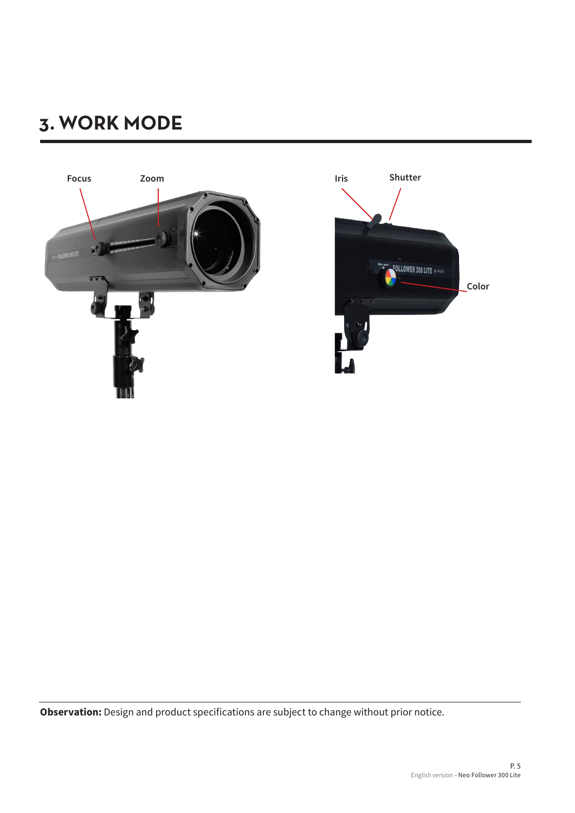# **3. WORK MODE**



**Observation:** Design and product specifications are subject to change without prior notice.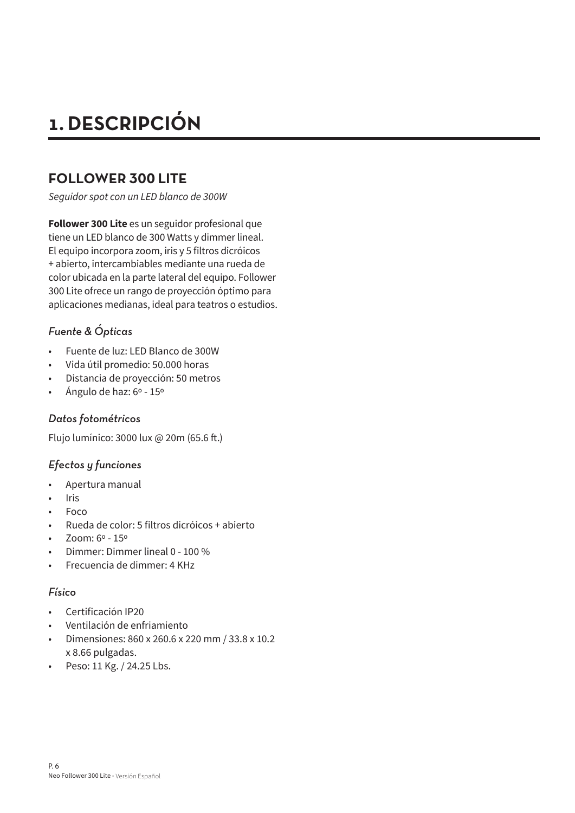# **1. DESCRIPCIÓN**

## **FOLLOWER 300 LITE**

*Seguidor spot con un LED blanco de 300W*

**Follower 300 Lite** es un seguidor profesional que tiene un LED blanco de 300 Watts y dimmer lineal. El equipo incorpora zoom, iris y 5 filtros dicróicos + abierto, intercambiables mediante una rueda de color ubicada en la parte lateral del equipo. Follower 300 Lite ofrece un rango de proyección óptimo para aplicaciones medianas, ideal para teatros o estudios.

## *Fuente & Ópticas*

- Fuente de luz: LED Blanco de 300W
- Vida útil promedio: 50.000 horas
- Distancia de proyección: 50 metros
- Ángulo de haz: 6º 15º

## *Datos fotométricos*

Flujo lumínico: 3000 lux @ 20m (65.6 ft.)

## *Efectos y funciones*

- Apertura manual
- **Iris**
- Foco
- Rueda de color: 5 filtros dicróicos + abierto
- Zoom: 6º 15º
- Dimmer: Dimmer lineal 0 100 %
- Frecuencia de dimmer: 4 KHz

## *Físico*

- Certificación IP20
- Ventilación de enfriamiento
- Dimensiones: 860 x 260.6 x 220 mm / 33.8 x 10.2 x 8.66 pulgadas.
- Peso: 11 Kg. / 24.25 Lbs.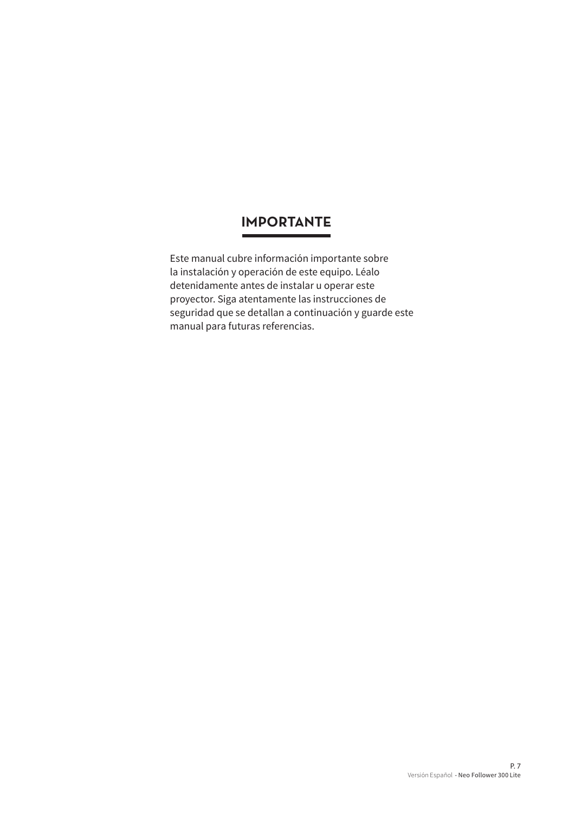## **IMPORTANTE**

Este manual cubre información importante sobre la instalación y operación de este equipo. Léalo detenidamente antes de instalar u operar este proyector. Siga atentamente las instrucciones de seguridad que se detallan a continuación y guarde este manual para futuras referencias.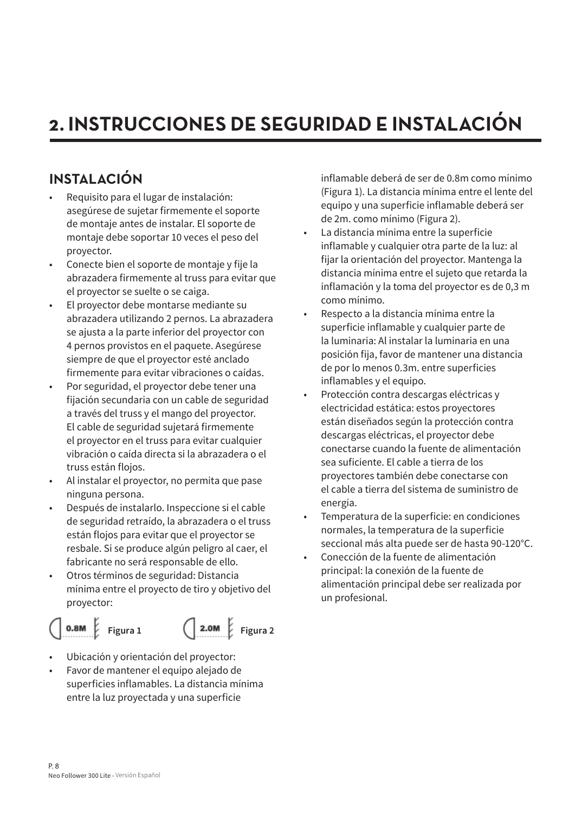# **2. INSTRUCCIONES DE SEGURIDAD E INSTALACIÓN**

## **INSTALACIÓN**

- Requisito para el lugar de instalación: asegúrese de sujetar firmemente el soporte de montaje antes de instalar. El soporte de montaje debe soportar 10 veces el peso del proyector.
- Conecte bien el soporte de montaje y fije la abrazadera firmemente al truss para evitar que el proyector se suelte o se caiga.
- El proyector debe montarse mediante su abrazadera utilizando 2 pernos. La abrazadera se ajusta a la parte inferior del proyector con 4 pernos provistos en el paquete. Asegúrese siempre de que el proyector esté anclado firmemente para evitar vibraciones o caídas.
- Por seguridad, el proyector debe tener una fijación secundaria con un cable de seguridad a través del truss y el mango del proyector. El cable de seguridad sujetará firmemente el proyector en el truss para evitar cualquier vibración o caída directa si la abrazadera o el truss están flojos.
- Al instalar el proyector, no permita que pase ninguna persona.
- Después de instalarlo. Inspeccione si el cable de seguridad retraído, la abrazadera o el truss están flojos para evitar que el proyector se resbale. Si se produce algún peligro al caer, el fabricante no será responsable de ello.
- Otros términos de seguridad: Distancia mínima entre el proyecto de tiro y objetivo del proyector:





- Ubicación y orientación del proyector:
- Favor de mantener el equipo alejado de superficies inflamables. La distancia mínima entre la luz proyectada y una superficie

inflamable deberá de ser de 0.8m como mínimo (Figura 1). La distancia mínima entre el lente del equipo y una superficie inflamable deberá ser de 2m. como mínimo (Figura 2).

- La distancia mínima entre la superficie inflamable y cualquier otra parte de la luz: al fijar la orientación del proyector. Mantenga la distancia mínima entre el sujeto que retarda la inflamación y la toma del proyector es de 0,3 m como mínimo.
- Respecto a la distancia mínima entre la superficie inflamable y cualquier parte de la luminaria: Al instalar la luminaria en una posición fija, favor de mantener una distancia de por lo menos 0.3m. entre superficies inflamables y el equipo.
- Protección contra descargas eléctricas y electricidad estática: estos proyectores están diseñados según la protección contra descargas eléctricas, el proyector debe conectarse cuando la fuente de alimentación sea suficiente. El cable a tierra de los proyectores también debe conectarse con el cable a tierra del sistema de suministro de energía.
- Temperatura de la superficie: en condiciones normales, la temperatura de la superficie seccional más alta puede ser de hasta 90-120°C.
- Conección de la fuente de alimentación principal: la conexión de la fuente de alimentación principal debe ser realizada por un profesional.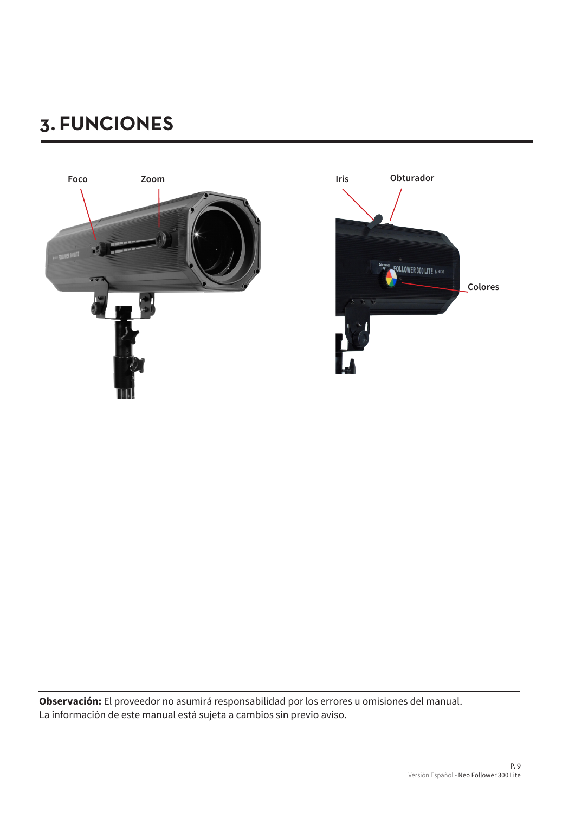# **3. FUNCIONES**



**Observación:** El proveedor no asumirá responsabilidad por los errores u omisiones del manual. La información de este manual está sujeta a cambios sin previo aviso.